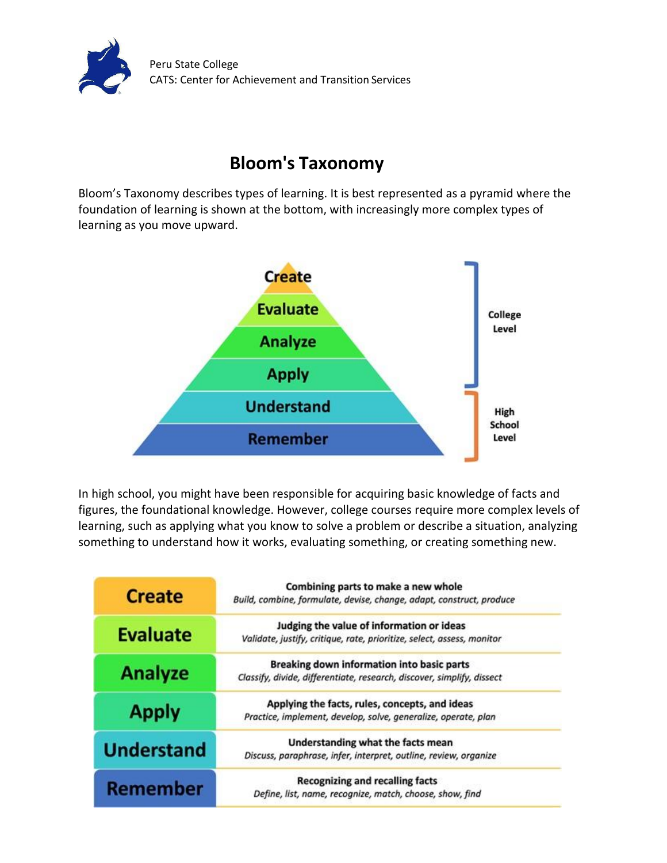

## **Bloom's Taxonomy**

Bloom's Taxonomy describes types of learning. It is best represented as a pyramid where the foundation of learning is shown at the bottom, with increasingly more complex types of learning as you move upward.



In high school, you might have been responsible for acquiring basic knowledge of facts and figures, the foundational knowledge. However, college courses require more complex levels of learning, such as applying what you know to solve a problem or describe a situation, analyzing something to understand how it works, evaluating something, or creating something new.

| <b>Create</b>     | Combining parts to make a new whole<br>Build, combine, formulate, devise, change, adapt, construct, produce          |
|-------------------|----------------------------------------------------------------------------------------------------------------------|
| <b>Evaluate</b>   | Judging the value of information or ideas<br>Validate, justify, critique, rate, prioritize, select, assess, monitor  |
| <b>Analyze</b>    | Breaking down information into basic parts<br>Classify, divide, differentiate, research, discover, simplify, dissect |
| <b>Apply</b>      | Applying the facts, rules, concepts, and ideas<br>Practice, implement, develop, solve, generalize, operate, plan     |
| <b>Understand</b> | Understanding what the facts mean<br>Discuss, paraphrase, infer, interpret, outline, review, organize                |
| <b>Remember</b>   | <b>Recognizing and recalling facts</b><br>Define, list, name, recognize, match, choose, show, find                   |